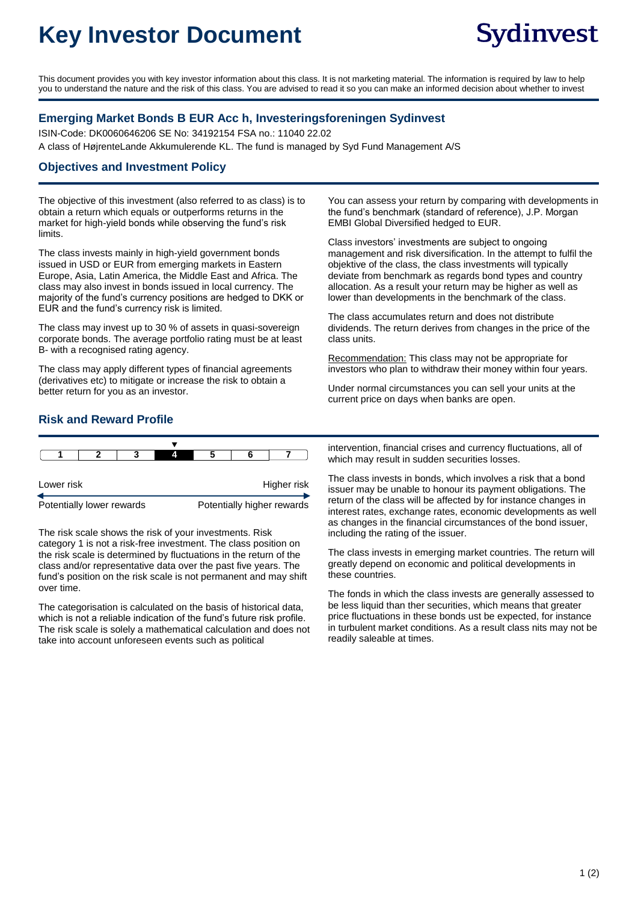# **Key Investor Document**

This document provides you with key investor information about this class. It is not marketing material. The information is required by law to help you to understand the nature and the risk of this class. You are advised to read it so you can make an informed decision about whether to invest

#### **Emerging Market Bonds B EUR Acc h, Investeringsforeningen Sydinvest**

ISIN-Code: DK0060646206 SE No: 34192154 FSA no.: 11040 22.02 A class of HøjrenteLande Akkumulerende KL. The fund is managed by Syd Fund Management A/S

#### **Objectives and Investment Policy**

The objective of this investment (also referred to as class) is to obtain a return which equals or outperforms returns in the market for high-yield bonds while observing the fund's risk limits.

The class invests mainly in high-yield government bonds issued in USD or EUR from emerging markets in Eastern Europe, Asia, Latin America, the Middle East and Africa. The class may also invest in bonds issued in local currency. The majority of the fund's currency positions are hedged to DKK or EUR and the fund's currency risk is limited.

The class may invest up to 30 % of assets in quasi-sovereign corporate bonds. The average portfolio rating must be at least B- with a recognised rating agency.

The class may apply different types of financial agreements (derivatives etc) to mitigate or increase the risk to obtain a better return for you as an investor.

You can assess your return by comparing with developments in the fund's benchmark (standard of reference), J.P. Morgan EMBI Global Diversified hedged to EUR.

Class investors' investments are subject to ongoing management and risk diversification. In the attempt to fulfil the objektive of the class, the class investments will typically deviate from benchmark as regards bond types and country allocation. As a result your return may be higher as well as lower than developments in the benchmark of the class.

The class accumulates return and does not distribute dividends. The return derives from changes in the price of the class units.

Recommendation: This class may not be appropriate for investors who plan to withdraw their money within four years.

Under normal circumstances you can sell your units at the current price on days when banks are open.

### **Risk and Reward Profile**

| Lower risk                |  |  |  | Higher risk                |  |  |  |
|---------------------------|--|--|--|----------------------------|--|--|--|
| Potentially lower rewards |  |  |  | Potentially higher rewards |  |  |  |

The risk scale shows the risk of your investments. Risk category 1 is not a risk-free investment. The class position on the risk scale is determined by fluctuations in the return of the class and/or representative data over the past five years. The fund's position on the risk scale is not permanent and may shift over time.

The categorisation is calculated on the basis of historical data, which is not a reliable indication of the fund's future risk profile. The risk scale is solely a mathematical calculation and does not take into account unforeseen events such as political

intervention, financial crises and currency fluctuations, all of which may result in sudden securities losses.

The class invests in bonds, which involves a risk that a bond issuer may be unable to honour its payment obligations. The return of the class will be affected by for instance changes in interest rates, exchange rates, economic developments as well as changes in the financial circumstances of the bond issuer, including the rating of the issuer.

The class invests in emerging market countries. The return will greatly depend on economic and political developments in these countries.

The fonds in which the class invests are generally assessed to be less liquid than ther securities, which means that greater price fluctuations in these bonds ust be expected, for instance in turbulent market conditions. As a result class nits may not be readily saleable at times.